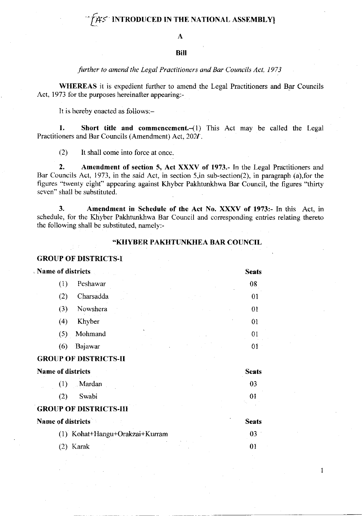# INTRODUCED IN THE NATIONAL ASSEMBLY

A

# **Bill**

# further to amend the Legal Practitioners and Bar Councils Act, 1973

WHEREAS it is expedient further to amend the Legal Practitioners and Bar Councils Act, 1973 for the purposes hereinafter appearing:-

It is hereby enacted as follows:-

1. Short title and commencement. $-(1)$  This Act may be called the Legal Practitioners and Bar Councils (Amendment) Act, 2021.

(2) It shall come into force at once.

2. Amendment of section 5, Act XXXV of 1973.- In the Legal Practitioners and Bar Councils Act, 1973, in the said Act, in section 5,in sub-section(2), in paragraph (a),for the figures "twenty eight" appearing against Khyber Pakhtunkhwa Bar Council, the figures "thirty seven" shall be substituted.

3. Amendment in Schedule of the Act No. XXXV of 1973- In this Act, in schedule, for the Khyber Pakhtunkhwa Bar Council and corresponding entries relating thereto the following shall be substituted, namely:-

# \*KHYBER PAKHTUNKHEA BAR COUNCIL

01

I

GROUP OF DISTRJCTS.I

| Name of districts |     |           | <b>Seats</b> |         |
|-------------------|-----|-----------|--------------|---------|
|                   | U   | Peshawar  |              | 08      |
|                   | (2) | Charsadda |              | 01      |
|                   | (3) | Nowshera  |              | 01      |
|                   | (4) | Khyber    |              | $_{01}$ |
|                   | (5) | Mohmand   |              | 01      |
|                   | (6) | Bajawar   |              |         |

#### GROUP OF DISTRICTS-II

| <b>Name of districts</b>       | <b>Seats</b> |  |
|--------------------------------|--------------|--|
| Mardan<br>(1)                  | 03           |  |
| Swabi<br>(2)                   |              |  |
| <b>GROUP OF DISTRICTS-HI</b>   |              |  |
| <b>Name of districts</b>       | <b>Seats</b> |  |
| (1) Kohat+Hangu+Orakzai+Kurram | 03           |  |

(2) Karak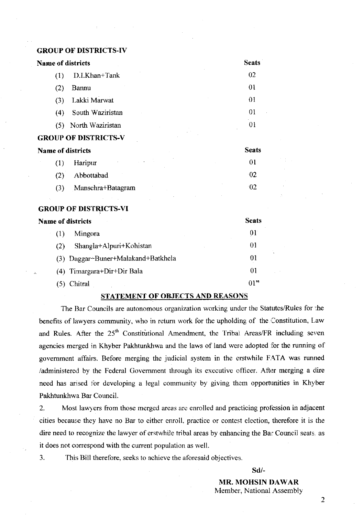# GROUP OF DISI'RICTS-IV

| <b>Name of districts</b> |                             | <b>Seats</b>   |
|--------------------------|-----------------------------|----------------|
| (1)                      | D.I.Khan+Tank               | 02             |
| (2)                      | Bannu                       | 01             |
| (3)                      | Lakki Marwat                | 01             |
| (4)                      | South Waziristan            | 01             |
| (5)                      | North Waziristan            | 0 <sub>1</sub> |
|                          | <b>GROUP OF DISTRICTS-V</b> |                |
| <b>Name of districts</b> |                             | <b>Seats</b>   |
| (1)                      | Haripur                     | 0 <sub>1</sub> |
| (2)                      | Abbottabad                  | 02             |
| (3)                      | Mansehra+Batagram           | -02            |

### **GROUP OF DISTRICTS-VI**

| <b>Name of districts</b> |                                                 | <b>Seats</b> |  |
|--------------------------|-------------------------------------------------|--------------|--|
| (1)                      | Mingora                                         | 01           |  |
| (2)                      | Shangla+Alpuri+Kohistan                         | 01           |  |
|                          | (3) Daggar <sup>+</sup> Buner+Malakand+Batkhela | 01           |  |
|                          | (4) Timargara+Dir+Dir Bala                      | 01           |  |
|                          | Chitral                                         | 01           |  |

# STATEMENT OF OBJECTS AND REASONS

The Bar Councils are autonomous organization working under the Statutes/Rules for the benefits of lawyers community, who in return work for the upholding of the Constitution, Law and Rules. After the  $25<sup>th</sup>$  Constitutional Amendment, the Tribal Areas/FR including seven agencies merged in Khyber Pakhtunkhwa and the laws of land were adopted for the running of government affairs. Before merging the judicial system in the erstwhile FATA was runned /administered by the Federal Government through its executive officer. After merging a dire need has arised for developing a legal community by giving them opportunities in Khyber Pakhtunkhwa Bar Council.

2. Most lawyers from those merged areas are enrolled and practicing profession in adjacent cities because they have no Bar to either enroll. practice or contest election, therefore it is the dire need to recognize the lawyer of erstwhile tribal areas by enhancing the Bar Council seats, as it does not correspond with the current population as well.

3. This Bill therefore, seeks to achieve the aforesaid objectives.

sd/-

MR. MOHSIN DAWAR Member, National Assembly

2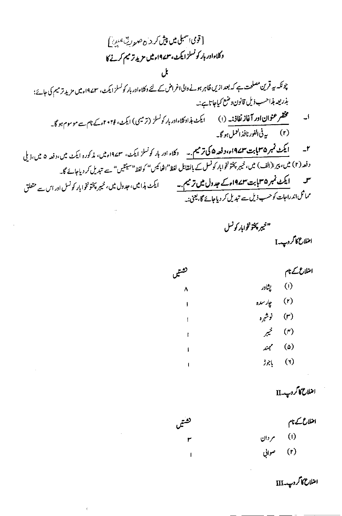[قومی اسمبلی میں پیش کر <sub>ش</sub>ے ص<sub>حو</sub>ر ی<sup>ہ</sup> میں ] وكلاءادر بار كونسلزا يكث، ٣٧٩١٩ ميل مزيد ترميم كرنے كا بل چونکہ ہہ قرین مصلحت ہے کہ بعد ازیں ظاہر ہونے والی اغراض کے لئے دکلاءادر بار کونسلز ایکٹ، سمے19میں مزید تر میم کی جائے؛ بذريعه بذاحسب ذيل قانون وضع كياجا تاہے:۔ مختصر عثوان اور آغاز نفاذ :۔ (۱) گیلئ ہذاد کلاءادر بار کونسلز (ترمیمی) ایکٹ، ۲۰۲۴ءکے نام سے موسوم ہو گا۔ ا۔ **ایکٹ نمبر ۳۵بابت ۱۹۷۳ء، دفعہ ۵ کی ترمیم ۔۔** دکلاء اور بار کونسلز ایکٹ، ۱۹۷۳ءمیں، مذکورہ ایکٹ میں،دفعہ ۵ میں،ذیلی  $\mathbf{r}$ دفعہ (۲) میں، پیرا(الف) میں، خیبر پختونخواہار کونسل کے بالمقابل لفظ"افھائیس" کولفظ"سینتیں" سے تبدیل کر دیاجائے گا۔ ایکٹ نمبر ۳۵بابت ۱۹۷۳ءکے جدول میں ترمیم.۔ س ایکٹ ہذا میں، جدول میں، خیبر پختونخوا بار کونسل اور اس سے متعلق مماثل <sub>اندراجات کوحسب ذیل سے تبدیل کر دیاجائے گا، یعنی:۔</sub>

تشتيما

"خيرپختونخوابار كونسل

امنلاع کاگر دید I

اضلاع کے نام

| فضتين     |                        | ارع کے نام                 |
|-----------|------------------------|----------------------------|
| $\lambda$ | پنادر                  | $\left( \mathbf{I}\right)$ |
| J         | (۲) چارسده             |                            |
| ŧ         | (۳) نوش <sub>بره</sub> |                            |
| ţ         | (۴) خيبر               |                            |
| ŀ         | مممثد                  | $(\circ)$                  |
|           | باجوز                  | (1)                        |

اضلاع کاگروپ۔II

اضلاع کے نام  $(1)$ م دان صواني  $(r)$ 

اضلاع کا گروپ۔ $\Pi$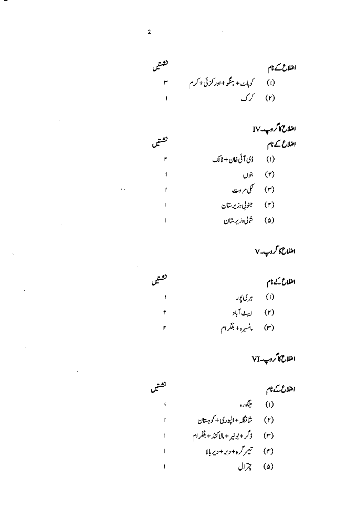تشتيں اضلاع کے نام ۰ )<br>(۱) کوپایت+ ہنگو+اور کزئی+کرم<br>(۲) کرک

| امتلاع کا کروپ۔IV             |  |
|-------------------------------|--|
| امنلاع کے نام                 |  |
| (۱) ژی آئی خان+ ٹائک          |  |
| (۲) بنوں                      |  |
| (۳) گلی <sub>مر</sub> وت      |  |
| (۴) جوني، <sub>وزيرستان</sub> |  |
| (۵) شالی <i>دزیر</i> ستان     |  |
|                               |  |

املاع کاگروپ۔V

| فضين                     |                                   | امتلاع کے نام |
|--------------------------|-----------------------------------|---------------|
| $\overline{\phantom{a}}$ | (۱) بری پور                       |               |
| ۳                        | (۲) ایبٹ آباد                     |               |
| ۳                        | (۳) لى انس <sub>ىرە</sub> +بلگرام |               |

امثلاح کا کروپ۔VI<br>امثلاح کے نام تشتيما (۱) ينگوره ţ شانگله +الپوری+ کو ہتان  $(r)$  $\mathbf{I}$ (۳) <sub>ف</sub>رگر + بونیر + مالاکنڈ + بلگر ام  $\mathbf{I}$ تيمر گره + دېر + دير بالا  $(r)$  $\mathbf{I}$ (۵) چرال  $\mathbf{I}$ 

 $\ddot{\phantom{a}}$